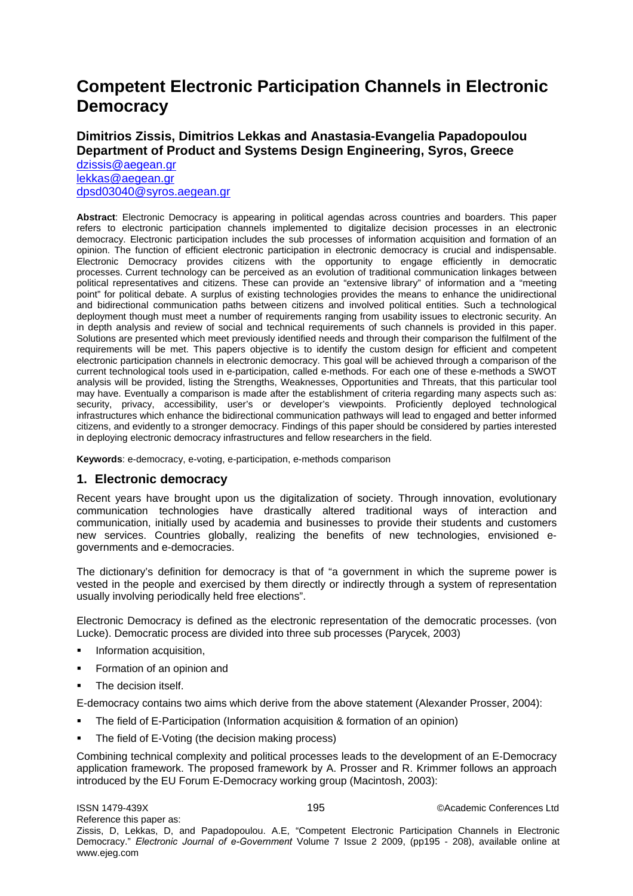# **Competent Electronic Participation Channels in Electronic Democracy**

# **Dimitrios Zissis, Dimitrios Lekkas and Anastasia-Evangelia Papadopoulou Department of Product and Systems Design Engineering, Syros, Greece**

[dzissis@aegean.gr](mailto:dzissis@aegean.gr) [lekkas@aegean.gr](mailto:lekkas@aegean.gr) [dpsd03040@syros.aegean.gr](mailto:dpsd03040@syros.aegean.gr)

**Abstract**: Electronic Democracy is appearing in political agendas across countries and boarders. This paper refers to electronic participation channels implemented to digitalize decision processes in an electronic democracy. Electronic participation includes the sub processes of information acquisition and formation of an opinion. The function of efficient electronic participation in electronic democracy is crucial and indispensable. Electronic Democracy provides citizens with the opportunity to engage efficiently in democratic processes. Current technology can be perceived as an evolution of traditional communication linkages between political representatives and citizens. These can provide an "extensive library" of information and a "meeting point" for political debate. A surplus of existing technologies provides the means to enhance the unidirectional and bidirectional communication paths between citizens and involved political entities. Such a technological deployment though must meet a number of requirements ranging from usability issues to electronic security. An in depth analysis and review of social and technical requirements of such channels is provided in this paper. Solutions are presented which meet previously identified needs and through their comparison the fulfilment of the requirements will be met. This papers objective is to identify the custom design for efficient and competent electronic participation channels in electronic democracy. This goal will be achieved through a comparison of the current technological tools used in e-participation, called e-methods. For each one of these e-methods a SWOT analysis will be provided, listing the Strengths, Weaknesses, Opportunities and Threats, that this particular tool may have. Eventually a comparison is made after the establishment of criteria regarding many aspects such as: security, privacy, accessibility, user's or developer's viewpoints. Proficiently deployed technological infrastructures which enhance the bidirectional communication pathways will lead to engaged and better informed citizens, and evidently to a stronger democracy. Findings of this paper should be considered by parties interested in deploying electronic democracy infrastructures and fellow researchers in the field.

**Keywords**: e-democracy, e-voting, e-participation, e-methods comparison

### **1. Electronic democracy**

Recent years have brought upon us the digitalization of society. Through innovation, evolutionary communication technologies have drastically altered traditional ways of interaction and communication, initially used by academia and businesses to provide their students and customers new services. Countries globally, realizing the benefits of new technologies, envisioned egovernments and e-democracies.

The dictionary's definition for democracy is that of "a government in which the supreme power is vested in the people and exercised by them directly or indirectly through a system of representation usually involving periodically held free elections".

Electronic Democracy is defined as the electronic representation of the democratic processes. (von Lucke). Democratic process are divided into three sub processes (Parycek, 2003)

- Information acquisition,
- Formation of an opinion and
- The decision itself.

E-democracy contains two aims which derive from the above statement (Alexander Prosser, 2004):

- The field of E-Participation (Information acquisition & formation of an opinion)
- The field of E-Voting (the decision making process)

Combining technical complexity and political processes leads to the development of an E-Democracy application framework. The proposed framework by A. Prosser and R. Krimmer follows an approach introduced by the EU Forum E-Democracy working group (Macintosh, 2003):

ISSN 1479-439X 195 ©Academic Conferences Ltd Reference this paper as: Zissis, D, Lekkas, D, and Papadopoulou. A.E, "Competent Electronic Participation Channels in Electronic Democracy." *Electronic Journal of e-Government* Volume 7 Issue 2 2009, (pp195 - 208), available online at www.ejeg.com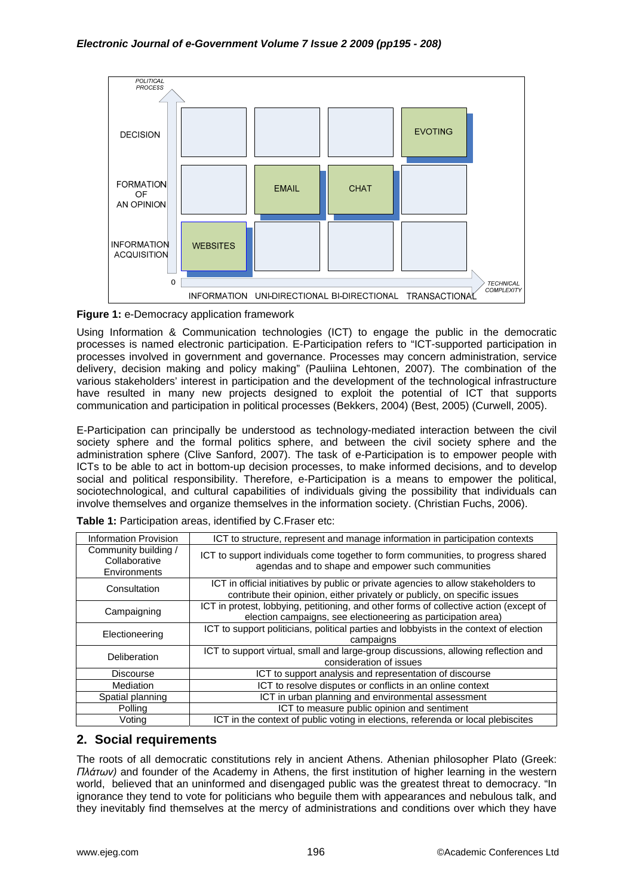

**Figure 1:** e-Democracy application framework

Using Information & Communication technologies (ICT) to engage the public in the democratic processes is named electronic participation. E-Participation refers to "ICT-supported participation in processes involved in government and governance. Processes may concern administration, service delivery, decision making and policy making" (Pauliina Lehtonen, 2007). The combination of the various stakeholders' interest in participation and the development of the technological infrastructure have resulted in many new projects designed to exploit the potential of ICT that supports communication and participation in political processes (Bekkers, 2004) (Best, 2005) (Curwell, 2005).

E-Participation can principally be understood as technology-mediated interaction between the civil society sphere and the formal politics sphere, and between the civil society sphere and the administration sphere (Clive Sanford, 2007). The task of e-Participation is to empower people with ICTs to be able to act in bottom-up decision processes, to make informed decisions, and to develop social and political responsibility. Therefore, e-Participation is a means to empower the political, sociotechnological, and cultural capabilities of individuals giving the possibility that individuals can involve themselves and organize themselves in the information society. (Christian Fuchs, 2006).

| <b>Information Provision</b>                          | ICT to structure, represent and manage information in participation contexts                                                                                     |
|-------------------------------------------------------|------------------------------------------------------------------------------------------------------------------------------------------------------------------|
| Community building /<br>Collaborative<br>Environments | ICT to support individuals come together to form communities, to progress shared<br>agendas and to shape and empower such communities                            |
| Consultation                                          | ICT in official initiatives by public or private agencies to allow stakeholders to<br>contribute their opinion, either privately or publicly, on specific issues |
| Campaigning                                           | ICT in protest, lobbying, petitioning, and other forms of collective action (except of<br>election campaigns, see electioneering as participation area)          |
| Electioneering                                        | ICT to support politicians, political parties and lobbyists in the context of election<br>campaigns                                                              |
| Deliberation                                          | ICT to support virtual, small and large-group discussions, allowing reflection and<br>consideration of issues                                                    |
| <b>Discourse</b>                                      | ICT to support analysis and representation of discourse                                                                                                          |
| Mediation                                             | ICT to resolve disputes or conflicts in an online context                                                                                                        |
| Spatial planning                                      | ICT in urban planning and environmental assessment                                                                                                               |
| Polling                                               | ICT to measure public opinion and sentiment                                                                                                                      |
| Voting                                                | ICT in the context of public voting in elections, referenda or local plebiscites                                                                                 |

| Table 1: Participation areas, identified by C. Fraser etc: |  |
|------------------------------------------------------------|--|
|------------------------------------------------------------|--|

# **2. Social requirements**

The roots of all democratic constitutions rely in ancient Athens. Athenian philosopher Plato (Greek: *Πλάτων)* and founder of the Academy in Athens, the first institution of higher learning in the western world, believed that an uninformed and disengaged public was the greatest threat to democracy. "In ignorance they tend to vote for politicians who beguile them with appearances and nebulous talk, and they inevitably find themselves at the mercy of administrations and conditions over which they have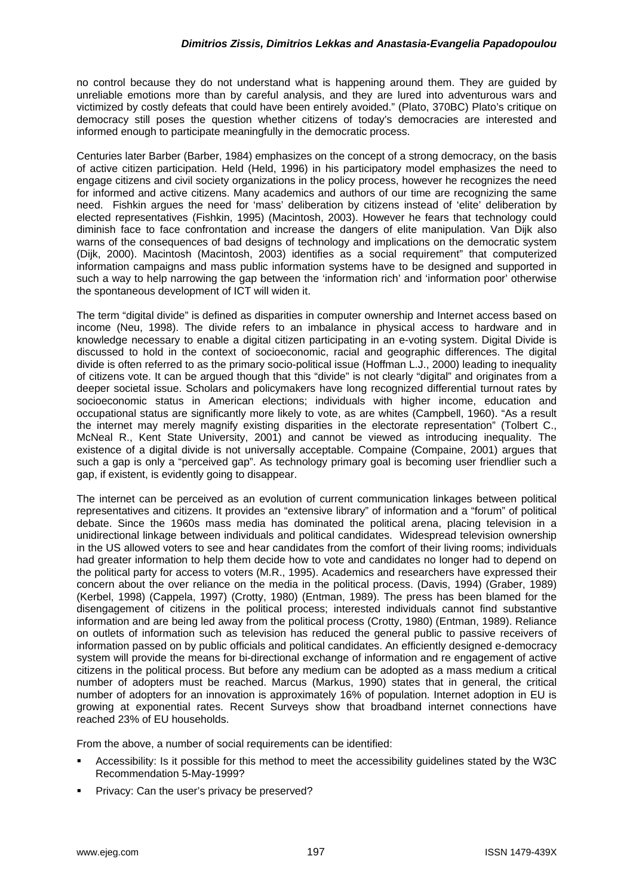no control because they do not understand what is happening around them. They are guided by unreliable emotions more than by careful analysis, and they are lured into adventurous wars and victimized by costly defeats that could have been entirely avoided." (Plato, 370BC) Plato's critique on democracy still poses the question whether citizens of today's democracies are interested and informed enough to participate meaningfully in the democratic process.

Centuries later Barber (Barber, 1984) emphasizes on the concept of a strong democracy, on the basis of active citizen participation. Held (Held, 1996) in his participatory model emphasizes the need to engage citizens and civil society organizations in the policy process, however he recognizes the need for informed and active citizens. Many academics and authors of our time are recognizing the same need. Fishkin argues the need for 'mass' deliberation by citizens instead of 'elite' deliberation by elected representatives (Fishkin, 1995) (Macintosh, 2003). However he fears that technology could diminish face to face confrontation and increase the dangers of elite manipulation. Van Dijk also warns of the consequences of bad designs of technology and implications on the democratic system (Dijk, 2000). Macintosh (Macintosh, 2003) identifies as a social requirement" that computerized information campaigns and mass public information systems have to be designed and supported in such a way to help narrowing the gap between the 'information rich' and 'information poor' otherwise the spontaneous development of ICT will widen it.

The term "digital divide" is defined as disparities in computer ownership and Internet access based on income (Neu, 1998). The divide refers to an imbalance in physical access to hardware and in knowledge necessary to enable a digital citizen participating in an e-voting system. Digital Divide is discussed to hold in the context of socioeconomic, racial and geographic differences. The digital divide is often referred to as the primary socio-political issue (Hoffman L.J., 2000) leading to inequality of citizens vote. It can be argued though that this "divide" is not clearly "digital" and originates from a deeper societal issue. Scholars and policymakers have long recognized differential turnout rates by socioeconomic status in American elections; individuals with higher income, education and occupational status are significantly more likely to vote, as are whites (Campbell, 1960). "As a result the internet may merely magnify existing disparities in the electorate representation" (Tolbert C., McNeal R., Kent State University, 2001) and cannot be viewed as introducing inequality. The existence of a digital divide is not universally acceptable. Compaine (Compaine, 2001) argues that such a gap is only a "perceived gap". As technology primary goal is becoming user friendlier such a gap, if existent, is evidently going to disappear.

The internet can be perceived as an evolution of current communication linkages between political representatives and citizens. It provides an "extensive library" of information and a "forum" of political debate. Since the 1960s mass media has dominated the political arena, placing television in a unidirectional linkage between individuals and political candidates. Widespread television ownership in the US allowed voters to see and hear candidates from the comfort of their living rooms; individuals had greater information to help them decide how to vote and candidates no longer had to depend on the political party for access to voters (M.R., 1995). Academics and researchers have expressed their concern about the over reliance on the media in the political process. (Davis, 1994) (Graber, 1989) (Kerbel, 1998) (Cappela, 1997) (Crotty, 1980) (Entman, 1989). The press has been blamed for the disengagement of citizens in the political process; interested individuals cannot find substantive information and are being led away from the political process (Crotty, 1980) (Entman, 1989). Reliance on outlets of information such as television has reduced the general public to passive receivers of information passed on by public officials and political candidates. An efficiently designed e-democracy system will provide the means for bi-directional exchange of information and re engagement of active citizens in the political process. But before any medium can be adopted as a mass medium a critical number of adopters must be reached. Marcus (Markus, 1990) states that in general, the critical number of adopters for an innovation is approximately 16% of population. Internet adoption in EU is growing at exponential rates. Recent Surveys show that broadband internet connections have reached 23% of EU households.

From the above, a number of social requirements can be identified:

- Accessibility: Is it possible for this method to meet the accessibility guidelines stated by the W3C Recommendation 5-May-1999?
- Privacy: Can the user's privacy be preserved?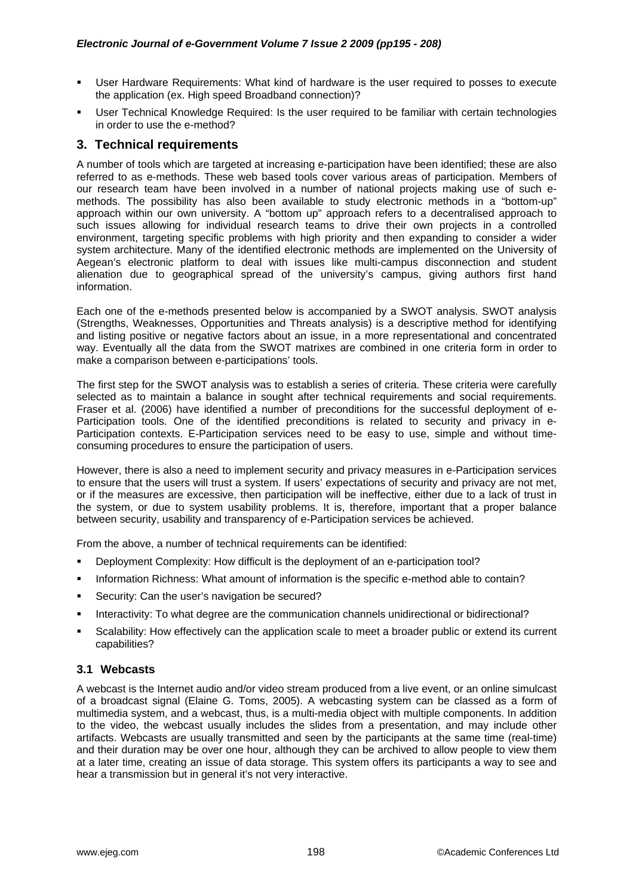- User Hardware Requirements: What kind of hardware is the user required to posses to execute the application (ex. High speed Broadband connection)?
- User Technical Knowledge Required: Is the user required to be familiar with certain technologies in order to use the e-method?

# **3. Technical requirements**

A number of tools which are targeted at increasing e-participation have been identified; these are also referred to as e-methods. These web based tools cover various areas of participation. Members of our research team have been involved in a number of national projects making use of such emethods. The possibility has also been available to study electronic methods in a "bottom-up" approach within our own university. A "bottom up" approach refers to a decentralised approach to such issues allowing for individual research teams to drive their own projects in a controlled environment, targeting specific problems with high priority and then expanding to consider a wider system architecture. Many of the identified electronic methods are implemented on the University of Aegean's electronic platform to deal with issues like multi-campus disconnection and student alienation due to geographical spread of the university's campus, giving authors first hand information.

Each one of the e-methods presented below is accompanied by a SWOT analysis. SWOT analysis (Strengths, Weaknesses, Opportunities and Threats analysis) is a descriptive method for identifying and listing positive or negative factors about an issue, in a more representational and concentrated way. Eventually all the data from the SWOT matrixes are combined in one criteria form in order to make a comparison between e-participations' tools.

The first step for the SWOT analysis was to establish a series of criteria. These criteria were carefully selected as to maintain a balance in sought after technical requirements and social requirements. Fraser et al. (2006) have identified a number of preconditions for the successful deployment of e-Participation tools. One of the identified preconditions is related to security and privacy in e-Participation contexts. E-Participation services need to be easy to use, simple and without timeconsuming procedures to ensure the participation of users.

However, there is also a need to implement security and privacy measures in e-Participation services to ensure that the users will trust a system. If users' expectations of security and privacy are not met, or if the measures are excessive, then participation will be ineffective, either due to a lack of trust in the system, or due to system usability problems. It is, therefore, important that a proper balance between security, usability and transparency of e-Participation services be achieved.

From the above, a number of technical requirements can be identified:

- Deployment Complexity: How difficult is the deployment of an e-participation tool?
- **Information Richness: What amount of information is the specific e-method able to contain?**
- Security: Can the user's navigation be secured?
- Interactivity: To what degree are the communication channels unidirectional or bidirectional?
- Scalability: How effectively can the application scale to meet a broader public or extend its current capabilities?

# **3.1 Webcasts**

A webcast is the Internet audio and/or video stream produced from a live event, or an online simulcast of a broadcast signal (Elaine G. Toms, 2005). A webcasting system can be classed as a form of multimedia system, and a webcast, thus, is a multi-media object with multiple components. In addition to the video, the webcast usually includes the slides from a presentation, and may include other artifacts. Webcasts are usually transmitted and seen by the participants at the same time (real-time) and their duration may be over one hour, although they can be archived to allow people to view them at a later time, creating an issue of data storage. This system offers its participants a way to see and hear a transmission but in general it's not very interactive.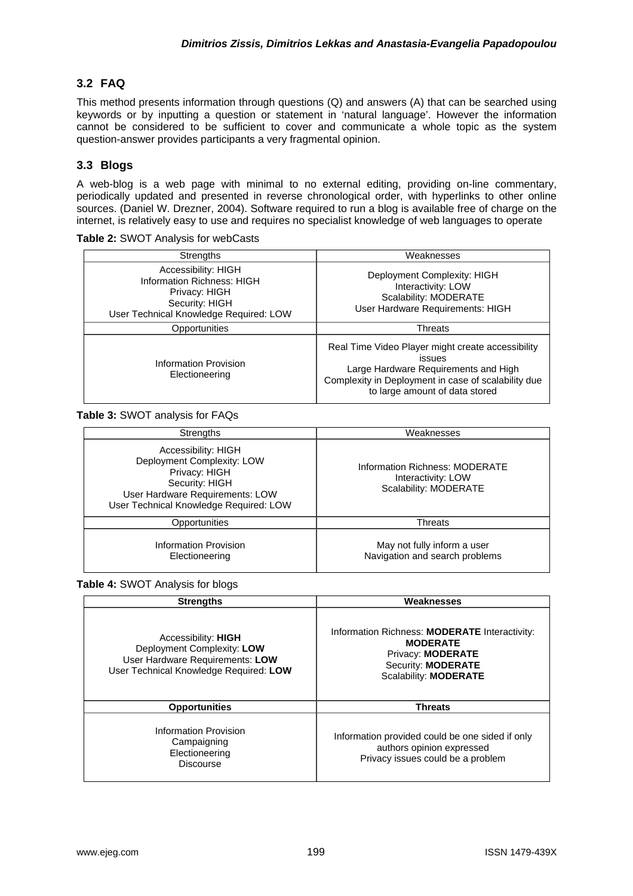# **3.2 FAQ**

This method presents information through questions (Q) and answers (A) that can be searched using keywords or by inputting a question or statement in 'natural language'. However the information cannot be considered to be sufficient to cover and communicate a whole topic as the system question-answer provides participants a very fragmental opinion.

# **3.3 Blogs**

A web-blog is a web page with minimal to no external editing, providing on-line commentary, periodically updated and presented in reverse chronological order, with hyperlinks to other online sources. (Daniel W. Drezner, 2004). Software required to run a blog is available free of charge on the internet, is relatively easy to use and requires no specialist knowledge of web languages to operate

| <b>Strengths</b>                                                                                                               | Weaknesses                                                                                                                                                                                          |
|--------------------------------------------------------------------------------------------------------------------------------|-----------------------------------------------------------------------------------------------------------------------------------------------------------------------------------------------------|
| Accessibility: HIGH<br>Information Richness: HIGH<br>Privacy: HIGH<br>Security: HIGH<br>User Technical Knowledge Required: LOW | Deployment Complexity: HIGH<br>Interactivity: LOW<br>Scalability: MODERATE<br>User Hardware Requirements: HIGH                                                                                      |
| Opportunities                                                                                                                  | Threats                                                                                                                                                                                             |
| <b>Information Provision</b><br>Electioneering                                                                                 | Real Time Video Player might create accessibility<br><b>issues</b><br>Large Hardware Requirements and High<br>Complexity in Deployment in case of scalability due<br>to large amount of data stored |

**Table 2:** SWOT Analysis for webCasts

#### **Table 3:** SWOT analysis for FAQs

| Strengths                                                                                                                                                         | Weaknesses                                                                    |
|-------------------------------------------------------------------------------------------------------------------------------------------------------------------|-------------------------------------------------------------------------------|
| Accessibility: HIGH<br>Deployment Complexity: LOW<br>Privacy: HIGH<br>Security: HIGH<br>User Hardware Requirements: LOW<br>User Technical Knowledge Required: LOW | Information Richness: MODERATE<br>Interactivity: LOW<br>Scalability: MODERATE |
| Opportunities                                                                                                                                                     | <b>Threats</b>                                                                |
| Information Provision<br>Electioneering                                                                                                                           | May not fully inform a user<br>Navigation and search problems                 |

#### **Table 4:** SWOT Analysis for blogs

| <b>Strengths</b>                                                                                                                      | Weaknesses                                                                                                                                         |
|---------------------------------------------------------------------------------------------------------------------------------------|----------------------------------------------------------------------------------------------------------------------------------------------------|
| Accessibility: <b>HIGH</b><br>Deployment Complexity: LOW<br>User Hardware Requirements: LOW<br>User Technical Knowledge Required: LOW | Information Richness: MODERATE Interactivity:<br><b>MODERATE</b><br>Privacy: <b>MODERATE</b><br>Security: <b>MODERATE</b><br>Scalability: MODERATE |
| <b>Opportunities</b>                                                                                                                  | <b>Threats</b>                                                                                                                                     |
| Information Provision<br>Campaigning<br>Electioneering<br><b>Discourse</b>                                                            | Information provided could be one sided if only<br>authors opinion expressed<br>Privacy issues could be a problem                                  |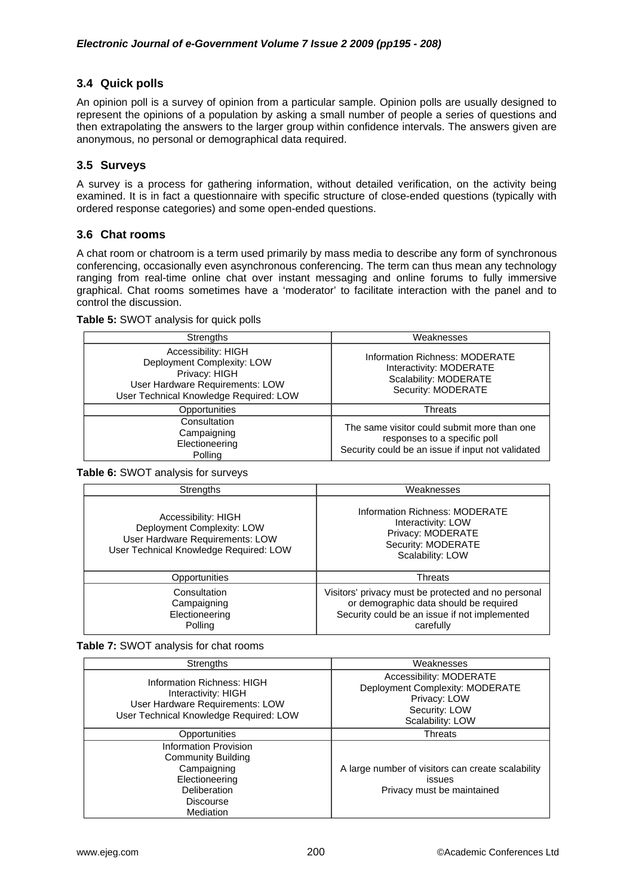## **3.4 Quick polls**

An opinion poll is a [survey](http://en.wikipedia.org/wiki/Statistical_survey) of [opinion](http://en.wikipedia.org/wiki/Opinion) from a particular [sample.](http://en.wikipedia.org/wiki/Sampling_%28statistics%29) Opinion polls are usually designed to represent the opinions of a population by asking a small number of people a series of questions and then extrapolating the answers to the larger group within [confidence intervals](http://en.wikipedia.org/wiki/Confidence_interval). The answers given are anonymous, no personal or demographical data required.

### **3.5 Surveys**

A survey is a process for gathering information, without detailed verification, on the activity being examined. It is in fact a questionnaire with specific structure of close-ended questions (typically with ordered response categories) and some open-ended questions.

### **3.6 Chat rooms**

A chat room or chatroom is a term used primarily by mass media to describe any form of synchronous conferencing, occasionally even asynchronous conferencing. The term can thus mean any technology ranging from real-time [online chat](http://en.wikipedia.org/wiki/Online_chat) over [instant messaging](http://en.wikipedia.org/wiki/Instant_messaging) and [online forums](http://en.wikipedia.org/wiki/Online_forums) to fully immersive graphical. Chat rooms sometimes have a 'moderator' to facilitate interaction with the panel and to control the discussion.

#### **Table 5:** SWOT analysis for quick polls

| <b>Strengths</b>                                                                                                                                | Weaknesses                                                                                                                       |
|-------------------------------------------------------------------------------------------------------------------------------------------------|----------------------------------------------------------------------------------------------------------------------------------|
| Accessibility: HIGH<br>Deployment Complexity: LOW<br>Privacy: HIGH<br>User Hardware Requirements: LOW<br>User Technical Knowledge Required: LOW | Information Richness: MODERATE<br>Interactivity: MODERATE<br>Scalability: MODERATE<br>Security: MODERATE                         |
| Opportunities                                                                                                                                   | Threats                                                                                                                          |
| Consultation<br>Campaigning<br>Electioneering<br>Polling                                                                                        | The same visitor could submit more than one<br>responses to a specific poll<br>Security could be an issue if input not validated |

**Table 6:** SWOT analysis for surveys

| Strengths                                                                                                                      | Weaknesses                                                                                                                                                  |
|--------------------------------------------------------------------------------------------------------------------------------|-------------------------------------------------------------------------------------------------------------------------------------------------------------|
| Accessibility: HIGH<br>Deployment Complexity: LOW<br>User Hardware Requirements: LOW<br>User Technical Knowledge Required: LOW | Information Richness: MODERATE<br>Interactivity: LOW<br>Privacy: MODERATE<br>Security: MODERATE<br>Scalability: LOW                                         |
| Opportunities                                                                                                                  | <b>Threats</b>                                                                                                                                              |
| Consultation<br>Campaigning<br>Electioneering<br>Polling                                                                       | Visitors' privacy must be protected and no personal<br>or demographic data should be required<br>Security could be an issue if not implemented<br>carefully |

**Table 7:** SWOT analysis for chat rooms

| <b>Strengths</b>                                                                                                                     | Weaknesses                                                                                                      |
|--------------------------------------------------------------------------------------------------------------------------------------|-----------------------------------------------------------------------------------------------------------------|
| Information Richness: HIGH<br>Interactivity: HIGH<br>User Hardware Requirements: LOW<br>User Technical Knowledge Required: LOW       | Accessibility: MODERATE<br>Deployment Complexity: MODERATE<br>Privacy: LOW<br>Security: LOW<br>Scalability: LOW |
| Opportunities                                                                                                                        | Threats                                                                                                         |
| Information Provision<br><b>Community Building</b><br>Campaigning<br>Electioneering<br>Deliberation<br><b>Discourse</b><br>Mediation | A large number of visitors can create scalability<br>issues<br>Privacy must be maintained                       |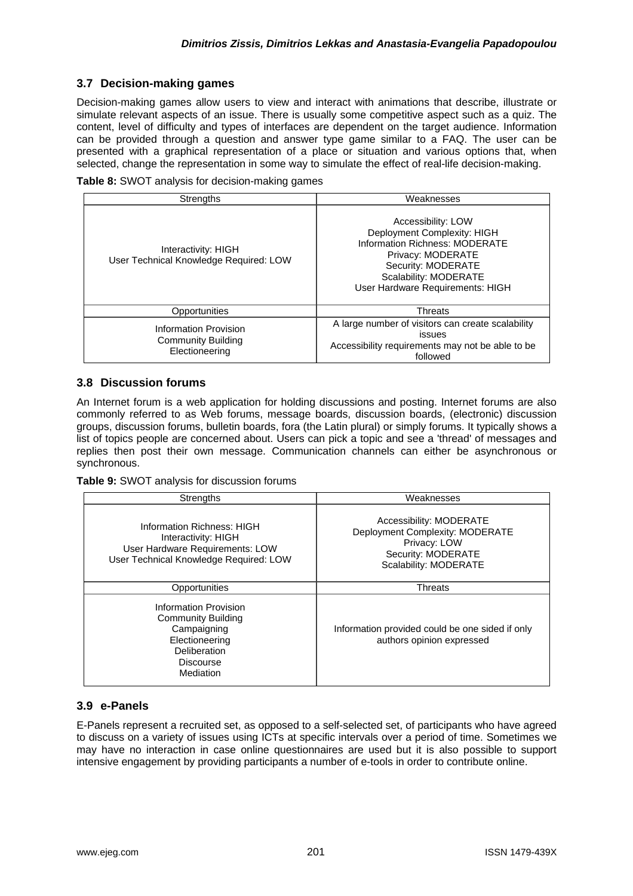## **3.7 Decision-making games**

Decision-making games allow users to view and interact with animations that describe, illustrate or simulate relevant aspects of an issue. There is usually some competitive aspect such as a quiz. The content, level of difficulty and types of interfaces are dependent on the target audience. Information can be provided through a question and answer type game similar to a FAQ. The user can be presented with a graphical representation of a place or situation and various options that, when selected, change the representation in some way to simulate the effect of real-life decision-making.

|  | Table 8: SWOT analysis for decision-making games |  |  |  |  |
|--|--------------------------------------------------|--|--|--|--|
|--|--------------------------------------------------|--|--|--|--|

| <b>Strengths</b>                                              | Weaknesses                                                                                                                                                                                  |
|---------------------------------------------------------------|---------------------------------------------------------------------------------------------------------------------------------------------------------------------------------------------|
| Interactivity: HIGH<br>User Technical Knowledge Required: LOW | Accessibility: LOW<br>Deployment Complexity: HIGH<br>Information Richness: MODERATE<br>Privacy: MODERATE<br>Security: MODERATE<br>Scalability: MODERATE<br>User Hardware Requirements: HIGH |
| Opportunities                                                 | <b>Threats</b>                                                                                                                                                                              |
| Information Provision<br>Community Building<br>Electioneering | A large number of visitors can create scalability<br>issues<br>Accessibility requirements may not be able to be<br>followed                                                                 |

### **3.8 Discussion forums**

An Internet forum is a [web application](http://en.wikipedia.org/wiki/Web_application) for holding discussions and posting. Internet forums are also commonly referred to as Web forums, message boards, discussion boards, (electronic) discussion groups, discussion forums, bulletin boards, fora (the [Latin](http://en.wikipedia.org/wiki/Latin) plural) or simply forums. It typically shows a list of topics people are concerned about. Users can pick a topic and see a 'thread' of messages and replies then post their own message. Communication channels can either be asynchronous or synchronous.

**Table 9:** SWOT analysis for discussion forums

| <b>Strengths</b>                                                                                                               | Weaknesses                                                                                                                |
|--------------------------------------------------------------------------------------------------------------------------------|---------------------------------------------------------------------------------------------------------------------------|
| Information Richness: HIGH<br>Interactivity: HIGH<br>User Hardware Requirements: LOW<br>User Technical Knowledge Required: LOW | Accessibility: MODERATE<br>Deployment Complexity: MODERATE<br>Privacy: LOW<br>Security: MODERATE<br>Scalability: MODERATE |
| Opportunities                                                                                                                  | <b>Threats</b>                                                                                                            |
| Information Provision<br><b>Community Building</b><br>Campaigning<br>Electioneering<br>Deliberation<br>Discourse<br>Mediation  | Information provided could be one sided if only<br>authors opinion expressed                                              |

# **3.9 e-Panels**

E-Panels represent a recruited set, as opposed to a self-selected set, of participants who have agreed to discuss on a variety of issues using ICTs at specific intervals over a period of time. Sometimes we may have no interaction in case online questionnaires are used but it is also possible to support intensive engagement by providing participants a number of e-tools in order to contribute online.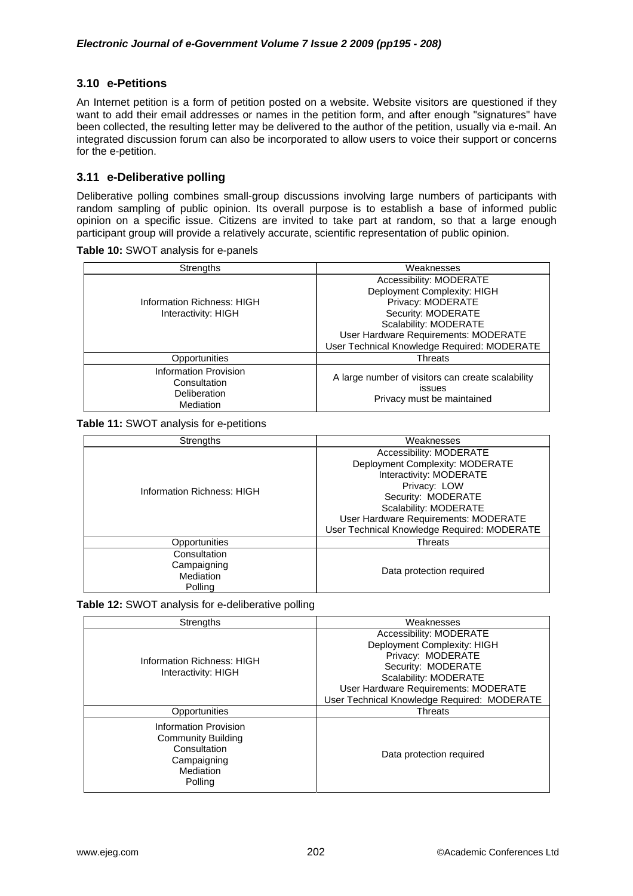### **3.10 e-Petitions**

An Internet petition is a form of [petition](http://en.wikipedia.org/wiki/Petition) posted on a [website](http://en.wikipedia.org/wiki/Website). Website visitors are questioned if they want to add their email addresses or names in the petition form, and after enough "signatures" have been collected, the resulting letter may be delivered to the author of the petition, usually via [e-mail](http://en.wikipedia.org/wiki/E-mail). An integrated discussion forum can also be incorporated to allow users to voice their support or concerns for the e-petition.

### **3.11 e-Deliberative polling**

Deliberative polling combines small-group discussions involving large numbers of participants with random sampling of public opinion. Its overall purpose is to establish a base of informed public opinion on a specific issue. Citizens are invited to take part at random, so that a large enough participant group will provide a relatively accurate, scientific representation of public opinion.

| Strengths                                                                 | Weaknesses                                                                                                                                                                                                        |
|---------------------------------------------------------------------------|-------------------------------------------------------------------------------------------------------------------------------------------------------------------------------------------------------------------|
| Information Richness: HIGH<br>Interactivity: HIGH                         | Accessibility: MODERATE<br>Deployment Complexity: HIGH<br>Privacy: MODERATE<br>Security: MODERATE<br>Scalability: MODERATE<br>User Hardware Requirements: MODERATE<br>User Technical Knowledge Required: MODERATE |
| Opportunities                                                             | Threats                                                                                                                                                                                                           |
| <b>Information Provision</b><br>Consultation<br>Deliberation<br>Mediation | A large number of visitors can create scalability<br>issues<br>Privacy must be maintained                                                                                                                         |

**Table 11:** SWOT analysis for e-petitions

| <b>Strengths</b>                                    | Weaknesses                                                                                                                                                                                                                                  |  |  |
|-----------------------------------------------------|---------------------------------------------------------------------------------------------------------------------------------------------------------------------------------------------------------------------------------------------|--|--|
| Information Richness: HIGH                          | Accessibility: MODERATE<br>Deployment Complexity: MODERATE<br>Interactivity: MODERATE<br>Privacy: LOW<br>Security: MODERATE<br>Scalability: MODERATE<br>User Hardware Requirements: MODERATE<br>User Technical Knowledge Required: MODERATE |  |  |
| Opportunities                                       | <b>Threats</b>                                                                                                                                                                                                                              |  |  |
| Consultation<br>Campaigning<br>Mediation<br>Polling | Data protection required                                                                                                                                                                                                                    |  |  |

**Table 12:** SWOT analysis for e-deliberative polling

| <b>Strengths</b>                                                                                   | Weaknesses                                                                                                                                                                                                        |
|----------------------------------------------------------------------------------------------------|-------------------------------------------------------------------------------------------------------------------------------------------------------------------------------------------------------------------|
| Information Richness: HIGH<br>Interactivity: HIGH                                                  | Accessibility: MODERATE<br>Deployment Complexity: HIGH<br>Privacy: MODERATE<br>Security: MODERATE<br>Scalability: MODERATE<br>User Hardware Requirements: MODERATE<br>User Technical Knowledge Required: MODERATE |
| Opportunities                                                                                      | <b>Threats</b>                                                                                                                                                                                                    |
| Information Provision<br>Community Building<br>Consultation<br>Campaigning<br>Mediation<br>Polling | Data protection required                                                                                                                                                                                          |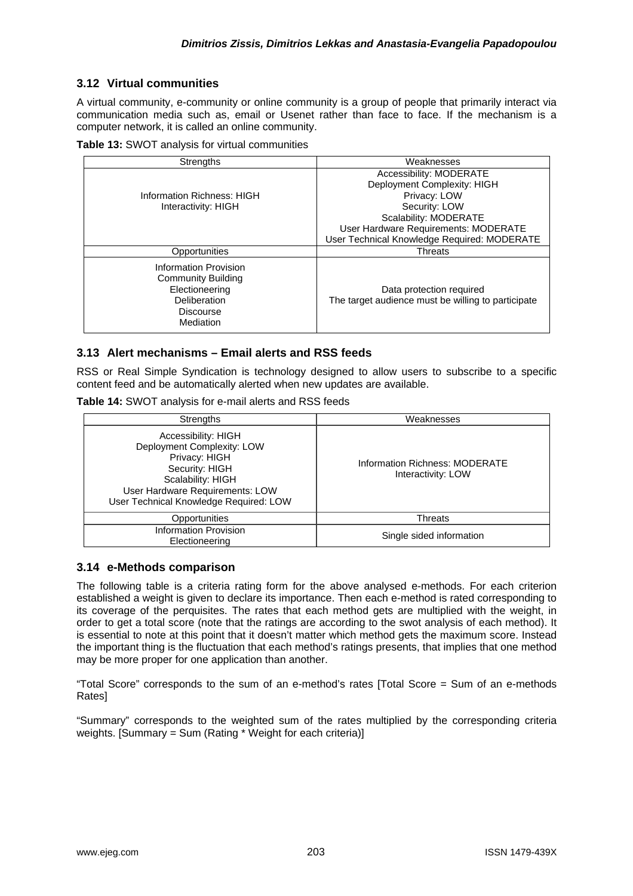## **3.12 Virtual communities**

A virtual community, e-community or online community is a [group](http://en.wikipedia.org/wiki/Group_%28sociology%29) of people that primarily interact via communication media such as, [email](http://en.wikipedia.org/wiki/Email) or Usenet rather than face to face. If the mechanism is a computer network, it is called an online community.

|  | Table 13: SWOT analysis for virtual communities |  |
|--|-------------------------------------------------|--|
|--|-------------------------------------------------|--|

| <b>Strengths</b>                                                                                                      | Weaknesses                                                                     |
|-----------------------------------------------------------------------------------------------------------------------|--------------------------------------------------------------------------------|
|                                                                                                                       | Accessibility: MODERATE                                                        |
|                                                                                                                       | Deployment Complexity: HIGH                                                    |
| Information Richness: HIGH                                                                                            | Privacy: LOW                                                                   |
| Interactivity: HIGH                                                                                                   | Security: LOW                                                                  |
|                                                                                                                       | Scalability: MODERATE                                                          |
|                                                                                                                       | User Hardware Requirements: MODERATE                                           |
|                                                                                                                       | User Technical Knowledge Required: MODERATE                                    |
| Opportunities                                                                                                         | <b>Threats</b>                                                                 |
| Information Provision<br><b>Community Building</b><br>Electioneering<br>Deliberation<br><b>Discourse</b><br>Mediation | Data protection required<br>The target audience must be willing to participate |

### **3.13 Alert mechanisms – Email alerts and RSS feeds**

RSS or Real Simple Syndication is technology designed to allow users to subscribe to a specific content feed and be automatically alerted when new updates are available.

**Table 14:** SWOT analysis for e-mail alerts and RSS feeds

| Strengths                                                                                                                                                                              | Weaknesses                                           |
|----------------------------------------------------------------------------------------------------------------------------------------------------------------------------------------|------------------------------------------------------|
| Accessibility: HIGH<br>Deployment Complexity: LOW<br>Privacy: HIGH<br>Security: HIGH<br>Scalability: HIGH<br>User Hardware Requirements: LOW<br>User Technical Knowledge Required: LOW | Information Richness: MODERATE<br>Interactivity: LOW |
| Opportunities                                                                                                                                                                          | Threats                                              |
| <b>Information Provision</b><br>Electioneering                                                                                                                                         | Single sided information                             |

### **3.14 e-Methods comparison**

The following table is a criteria rating form for the above analysed e-methods. For each criterion established a weight is given to declare its importance. Then each e-method is rated corresponding to its coverage of the perquisites. The rates that each method gets are multiplied with the weight, in order to get a total score (note that the ratings are according to the swot analysis of each method). It is essential to note at this point that it doesn't matter which method gets the maximum score. Instead the important thing is the fluctuation that each method's ratings presents, that implies that one method may be more proper for one application than another.

"Total Score" corresponds to the sum of an e-method's rates [Total Score = Sum of an e-methods Rates]

"Summary" corresponds to the weighted sum of the rates multiplied by the corresponding criteria weights. [Summary = Sum (Rating \* Weight for each criteria)]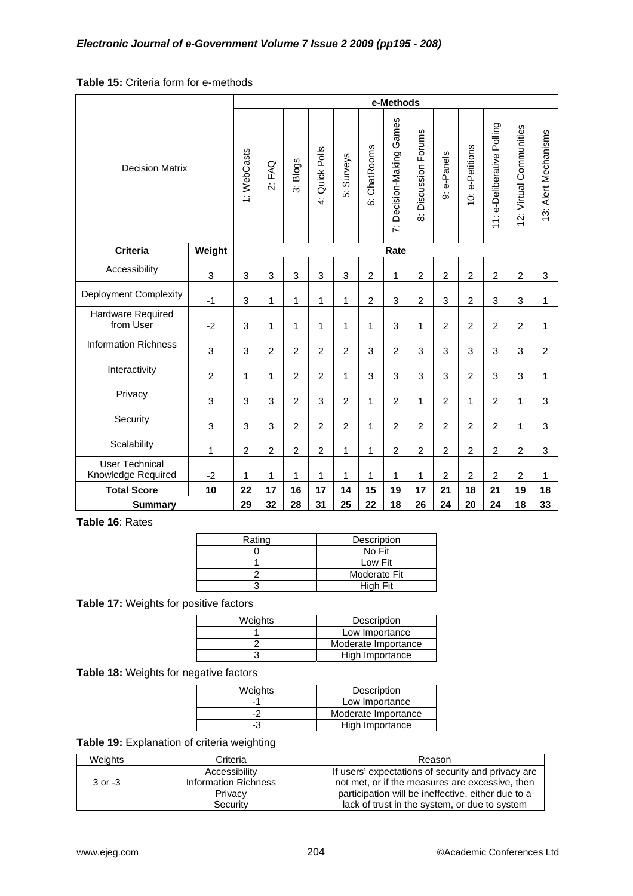# **Table 15:** Criteria form for e-methods

|                                             |                | e-Methods      |                |                                     |                |                |                |                             |                                     |                |                 |                                 |                         |                      |
|---------------------------------------------|----------------|----------------|----------------|-------------------------------------|----------------|----------------|----------------|-----------------------------|-------------------------------------|----------------|-----------------|---------------------------------|-------------------------|----------------------|
| <b>Decision Matrix</b>                      |                | 1: WebCasts    | 2: FAQ         | Blogs<br>$\overline{\ddot{\delta}}$ | 4: Quick Polls | 5: Surveys     | 6: ChatRooms   | Games<br>7: Decision-Making | Discussion Forums<br>$\dot{\infty}$ | e-Panels<br>တ် | 10: e-Petitions | Polling<br>e-Deliberative<br>11 | 12: Virtual Communities | 13: Alert Mechanisms |
| <b>Criteria</b>                             | Weight         |                |                |                                     |                |                |                | Rate                        |                                     |                |                 |                                 |                         |                      |
| Accessibility                               | 3              | 3              | 3              | 3                                   | 3              | $\mathbf{3}$   | $\overline{c}$ | 1                           | $\overline{c}$                      | $\overline{2}$ | $\overline{c}$  | $\overline{2}$                  | $\overline{c}$          | $\mathbf{3}$         |
| Deployment Complexity                       | $-1$           | 3              | 1              | 1                                   | 1              | $\mathbf{1}$   | $\overline{2}$ | 3                           | $\overline{2}$                      | 3              | $\overline{c}$  | 3                               | 3                       | 1                    |
| Hardware Required<br>from User              | $-2$           | 3              | $\mathbf 1$    | 1                                   | 1              | 1              | 1              | 3                           | 1                                   | $\overline{2}$ | $\overline{2}$  | $\overline{2}$                  | $\overline{c}$          | 1                    |
| <b>Information Richness</b>                 | 3              | 3              | $\overline{c}$ | $\overline{c}$                      | $\overline{c}$ | $\overline{c}$ | 3              | $\overline{c}$              | 3                                   | 3              | 3               | 3                               | 3                       | $\overline{c}$       |
| Interactivity                               | $\overline{c}$ | 1              | $\mathbf{1}$   | $\overline{c}$                      | $\overline{c}$ | 1              | 3              | 3                           | 3                                   | 3              | $\overline{2}$  | 3                               | 3                       | 1                    |
| Privacy                                     | 3              | 3              | 3              | $\overline{2}$                      | 3              | $\overline{2}$ | 1              | $\overline{2}$              | 1                                   | $\overline{c}$ | 1               | $\overline{2}$                  | $\mathbf{1}$            | $\mathbf{3}$         |
| Security                                    | 3              | 3              | 3              | $\overline{2}$                      | $\overline{c}$ | $\overline{2}$ | 1              | $\overline{2}$              | $\overline{2}$                      | $\overline{2}$ | $\overline{2}$  | $\overline{2}$                  | $\mathbf{1}$            | 3                    |
| Scalability                                 | 1              | $\overline{c}$ | $\overline{c}$ | $\overline{c}$                      | $\overline{c}$ | 1              | 1              | $\overline{c}$              | $\overline{c}$                      | $\overline{c}$ | $\overline{c}$  | $\overline{2}$                  | $\overline{c}$          | $\mathbf{3}$         |
| <b>User Technical</b><br>Knowledge Required | $-2$           | 1              | $\mathbf{1}$   | 1                                   | 1              | 1              | $\mathbf{1}$   | 1                           | 1                                   | $\overline{2}$ | $\overline{c}$  | $\overline{2}$                  | $\overline{2}$          | 1                    |
| <b>Total Score</b>                          | 10             | 22             | 17             | 16                                  | 17             | 14             | 15             | 19                          | 17                                  | 21             | 18              | 21                              | 19                      | 18                   |
| <b>Summary</b>                              |                | 29             | 32             | 28                                  | 31             | 25             | 22             | 18                          | 26                                  | 24             | 20              | 24                              | 18                      | 33                   |

**Table 16**: Rates

| Rating | Description     |
|--------|-----------------|
|        | No Fit          |
|        | Low Fit         |
|        | Moderate Fit    |
|        | <b>High Fit</b> |

**Table 17:** Weights for positive factors

| Weights | Description         |
|---------|---------------------|
|         | Low Importance      |
|         | Moderate Importance |
|         | High Importance     |

**Table 18:** Weights for negative factors

| Weights | Description         |
|---------|---------------------|
|         | Low Importance      |
|         | Moderate Importance |
| -3      | High Importance     |

**Table 19:** Explanation of criteria weighting

| Weights     | Criteria                    | Reason                                             |
|-------------|-----------------------------|----------------------------------------------------|
|             | Accessibility               | If users' expectations of security and privacy are |
| $3$ or $-3$ | <b>Information Richness</b> | not met, or if the measures are excessive, then    |
|             | Privacy                     | participation will be ineffective, either due to a |
|             | Security                    | lack of trust in the system, or due to system      |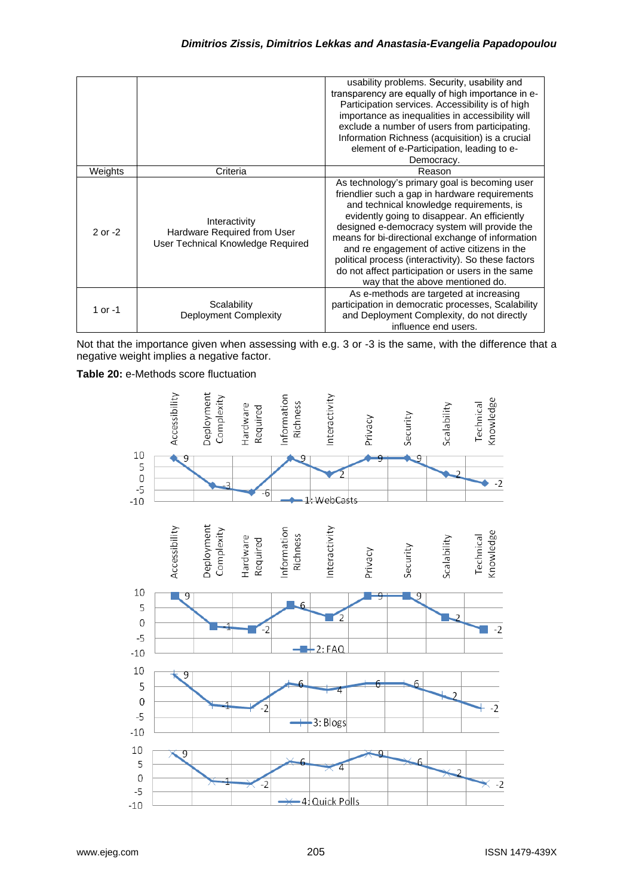|             |                                                                                   | usability problems. Security, usability and<br>transparency are equally of high importance in e-<br>Participation services. Accessibility is of high<br>importance as inequalities in accessibility will<br>exclude a number of users from participating.<br>Information Richness (acquisition) is a crucial<br>element of e-Participation, leading to e-<br>Democracy.                                                                                                                       |
|-------------|-----------------------------------------------------------------------------------|-----------------------------------------------------------------------------------------------------------------------------------------------------------------------------------------------------------------------------------------------------------------------------------------------------------------------------------------------------------------------------------------------------------------------------------------------------------------------------------------------|
| Weights     | Criteria                                                                          | Reason                                                                                                                                                                                                                                                                                                                                                                                                                                                                                        |
| $2$ or $-2$ | Interactivity<br>Hardware Required from User<br>User Technical Knowledge Required | As technology's primary goal is becoming user<br>friendlier such a gap in hardware requirements<br>and technical knowledge requirements, is<br>evidently going to disappear. An efficiently<br>designed e-democracy system will provide the<br>means for bi-directional exchange of information<br>and re engagement of active citizens in the<br>political process (interactivity). So these factors<br>do not affect participation or users in the same<br>way that the above mentioned do. |
| 1 or -1     | Scalability<br>Deployment Complexity                                              | As e-methods are targeted at increasing<br>participation in democratic processes, Scalability<br>and Deployment Complexity, do not directly<br>influence end users.                                                                                                                                                                                                                                                                                                                           |

Not that the importance given when assessing with e.g. 3 or -3 is the same, with the difference that a negative weight implies a negative factor.

**Table 20:** e-Methods score fluctuation

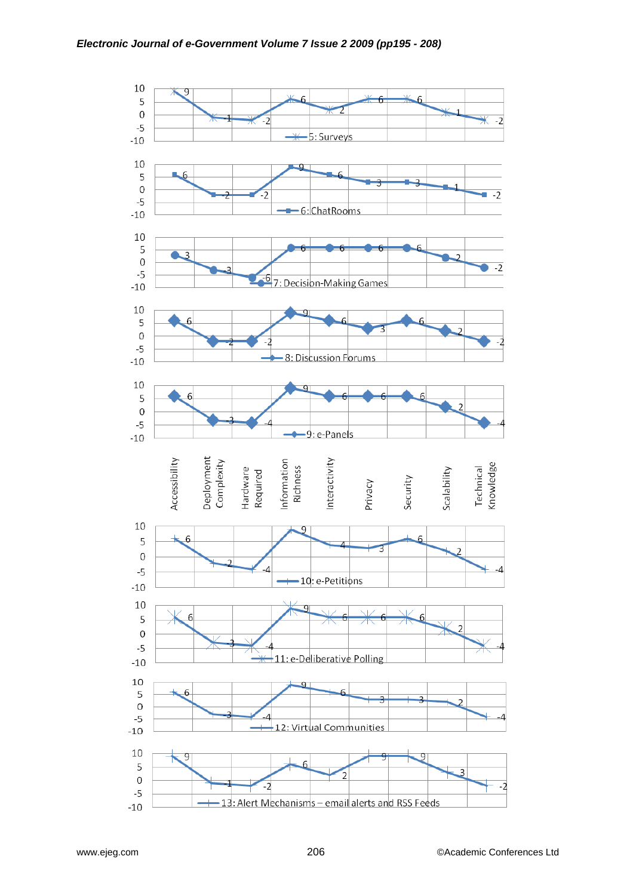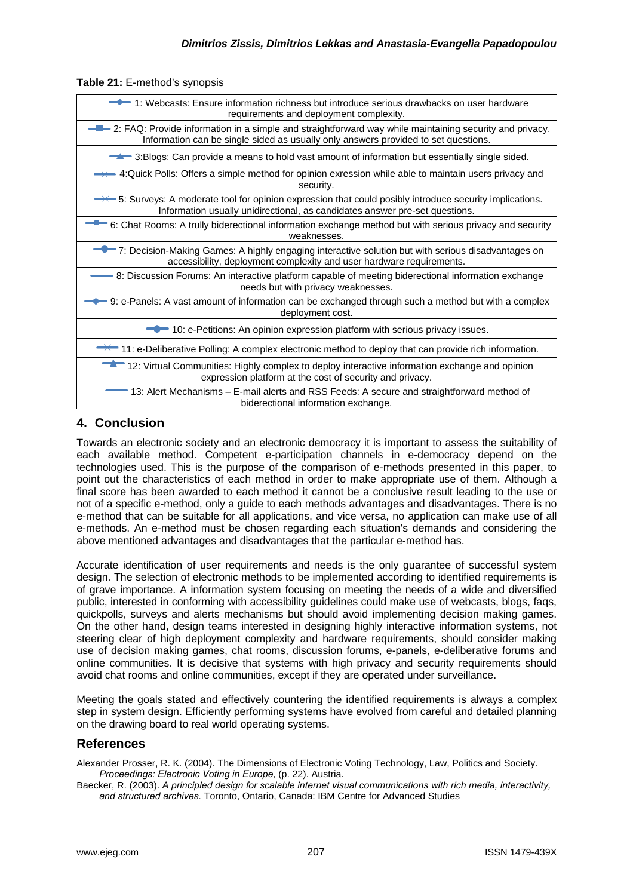**Table 21:** E-method's synopsis

# **4. Conclusion**

Towards an electronic society and an electronic democracy it is important to assess the suitability of each available method. Competent e-participation channels in e-democracy depend on the technologies used. This is the purpose of the comparison of e-methods presented in this paper, to point out the characteristics of each method in order to make appropriate use of them. Although a final score has been awarded to each method it cannot be a conclusive result leading to the use or not of a specific e-method, only a guide to each methods advantages and disadvantages. There is no e-method that can be suitable for all applications, and vice versa, no application can make use of all e-methods. An e-method must be chosen regarding each situation's demands and considering the above mentioned advantages and disadvantages that the particular e-method has.

Accurate identification of user requirements and needs is the only guarantee of successful system design. The selection of electronic methods to be implemented according to identified requirements is of grave importance. A information system focusing on meeting the needs of a wide and diversified public, interested in conforming with accessibility guidelines could make use of webcasts, blogs, faqs, quickpolls, surveys and alerts mechanisms but should avoid implementing decision making games. On the other hand, design teams interested in designing highly interactive information systems, not steering clear of high deployment complexity and hardware requirements, should consider making use of decision making games, chat rooms, discussion forums, e-panels, e-deliberative forums and online communities. It is decisive that systems with high privacy and security requirements should avoid chat rooms and online communities, except if they are operated under surveillance.

Meeting the goals stated and effectively countering the identified requirements is always a complex step in system design. Efficiently performing systems have evolved from careful and detailed planning on the drawing board to real world operating systems.

# **References**

Alexander Prosser, R. K. (2004). The Dimensions of Electronic Voting Technology, Law, Politics and Society. *Proceedings: Electronic Voting in Europe*, (p. 22). Austria.

Baecker, R. (2003). *A principled design for scalable internet visual communications with rich media, interactivity, and structured archives.* Toronto, Ontario, Canada: IBM Centre for Advanced Studies